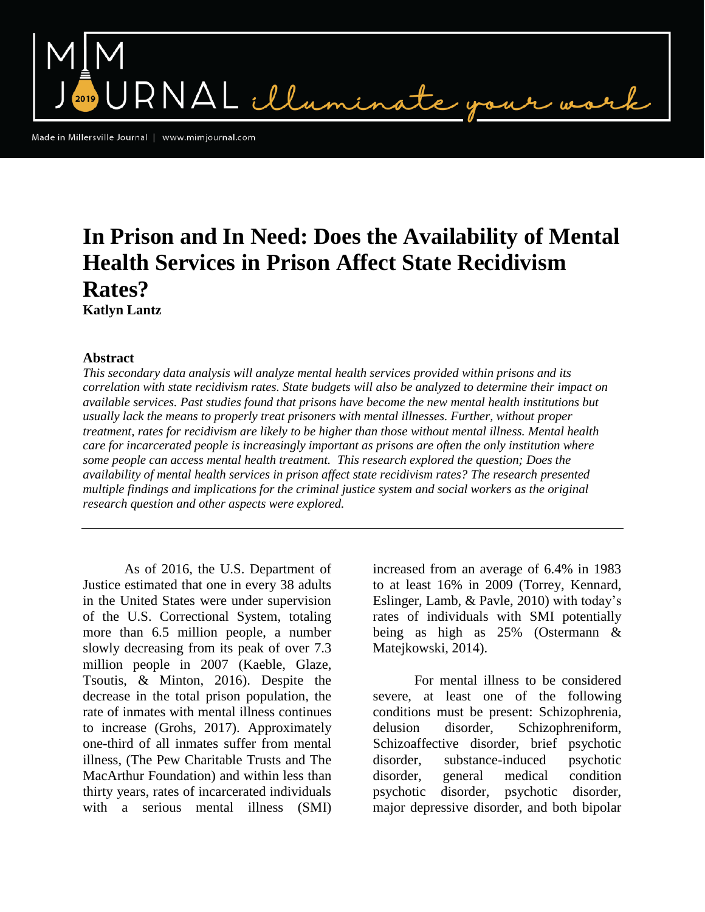RNAL illus

Made in Millersville Journal | www.mimjournal.com

# **In Prison and In Need: Does the Availability of Mental Health Services in Prison Affect State Recidivism Rates? Katlyn Lantz**

### **Abstract**

*This secondary data analysis will analyze mental health services provided within prisons and its correlation with state recidivism rates. State budgets will also be analyzed to determine their impact on available services. Past studies found that prisons have become the new mental health institutions but usually lack the means to properly treat prisoners with mental illnesses. Further, without proper treatment, rates for recidivism are likely to be higher than those without mental illness. Mental health care for incarcerated people is increasingly important as prisons are often the only institution where some people can access mental health treatment. This research explored the question; Does the availability of mental health services in prison affect state recidivism rates? The research presented multiple findings and implications for the criminal justice system and social workers as the original research question and other aspects were explored.*

As of 2016, the U.S. Department of Justice estimated that one in every 38 adults in the United States were under supervision of the U.S. Correctional System, totaling more than 6.5 million people, a number slowly decreasing from its peak of over 7.3 million people in 2007 (Kaeble, Glaze, Tsoutis, & Minton, 2016). Despite the decrease in the total prison population, the rate of inmates with mental illness continues to increase (Grohs, 2017). Approximately one-third of all inmates suffer from mental illness, (The Pew Charitable Trusts and The MacArthur Foundation) and within less than thirty years, rates of incarcerated individuals with a serious mental illness (SMI)

increased from an average of 6.4% in 1983 to at least 16% in 2009 (Torrey, Kennard, Eslinger, Lamb, & Pavle, 2010) with today's rates of individuals with SMI potentially being as high as 25% (Ostermann & Matejkowski, 2014).

For mental illness to be considered severe, at least one of the following conditions must be present: Schizophrenia, delusion disorder, Schizophreniform, Schizoaffective disorder, brief psychotic disorder, substance-induced psychotic disorder, general medical condition psychotic disorder, psychotic disorder, major depressive disorder, and both bipolar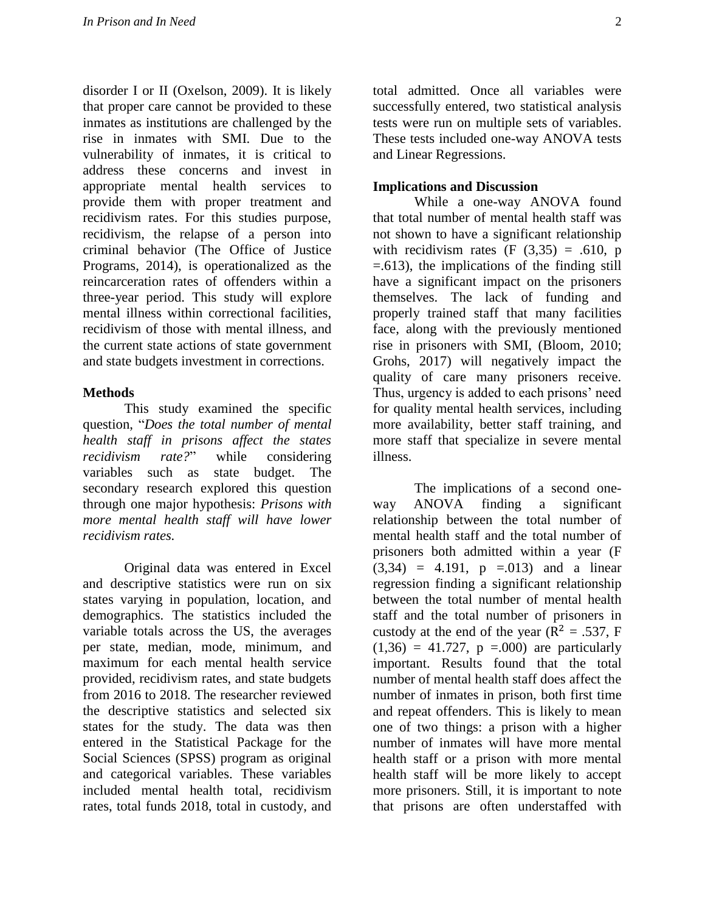disorder I or II (Oxelson, 2009). It is likely that proper care cannot be provided to these inmates as institutions are challenged by the rise in inmates with SMI. Due to the vulnerability of inmates, it is critical to address these concerns and invest in appropriate mental health services to provide them with proper treatment and recidivism rates. For this studies purpose, recidivism, the relapse of a person into criminal behavior (The Office of Justice Programs, 2014), is operationalized as the reincarceration rates of offenders within a three-year period. This study will explore mental illness within correctional facilities, recidivism of those with mental illness, and the current state actions of state government and state budgets investment in corrections.

## **Methods**

This study examined the specific question, "*Does the total number of mental health staff in prisons affect the states recidivism rate?*" while considering variables such as state budget. The secondary research explored this question through one major hypothesis: *Prisons with more mental health staff will have lower recidivism rates.* 

Original data was entered in Excel and descriptive statistics were run on six states varying in population, location, and demographics. The statistics included the variable totals across the US, the averages per state, median, mode, minimum, and maximum for each mental health service provided, recidivism rates, and state budgets from 2016 to 2018. The researcher reviewed the descriptive statistics and selected six states for the study. The data was then entered in the Statistical Package for the Social Sciences (SPSS) program as original and categorical variables. These variables included mental health total, recidivism rates, total funds 2018, total in custody, and

total admitted. Once all variables were successfully entered, two statistical analysis tests were run on multiple sets of variables. These tests included one-way ANOVA tests and Linear Regressions.

## **Implications and Discussion**

While a one-way ANOVA found that total number of mental health staff was not shown to have a significant relationship with recidivism rates  $(F (3,35) = .610, p)$ =.613), the implications of the finding still have a significant impact on the prisoners themselves. The lack of funding and properly trained staff that many facilities face, along with the previously mentioned rise in prisoners with SMI, (Bloom, 2010; Grohs, 2017) will negatively impact the quality of care many prisoners receive. Thus, urgency is added to each prisons' need for quality mental health services, including more availability, better staff training, and more staff that specialize in severe mental illness.

The implications of a second oneway ANOVA finding a significant relationship between the total number of mental health staff and the total number of prisoners both admitted within a year (F  $(3,34) = 4.191$ ,  $p = .013$  and a linear regression finding a significant relationship between the total number of mental health staff and the total number of prisoners in custody at the end of the year ( $R^2 = .537$ , F  $(1,36) = 41.727$ ,  $p = .000$  are particularly important. Results found that the total number of mental health staff does affect the number of inmates in prison, both first time and repeat offenders. This is likely to mean one of two things: a prison with a higher number of inmates will have more mental health staff or a prison with more mental health staff will be more likely to accept more prisoners. Still, it is important to note that prisons are often understaffed with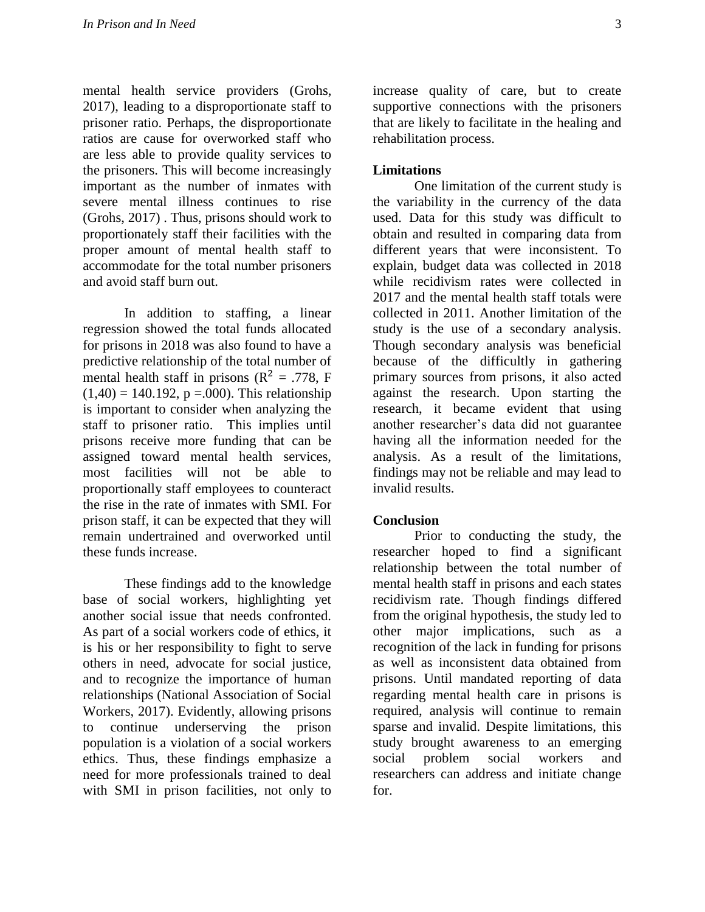mental health service providers (Grohs, 2017), leading to a disproportionate staff to prisoner ratio. Perhaps, the disproportionate ratios are cause for overworked staff who are less able to provide quality services to the prisoners. This will become increasingly important as the number of inmates with severe mental illness continues to rise (Grohs, 2017) . Thus, prisons should work to proportionately staff their facilities with the proper amount of mental health staff to accommodate for the total number prisoners and avoid staff burn out.

In addition to staffing, a linear regression showed the total funds allocated for prisons in 2018 was also found to have a predictive relationship of the total number of mental health staff in prisons ( $R^2 = .778$ , F  $(1,40) = 140.192$ , p = 000). This relationship is important to consider when analyzing the staff to prisoner ratio. This implies until prisons receive more funding that can be assigned toward mental health services, most facilities will not be able to proportionally staff employees to counteract the rise in the rate of inmates with SMI. For prison staff, it can be expected that they will remain undertrained and overworked until these funds increase.

These findings add to the knowledge base of social workers, highlighting yet another social issue that needs confronted. As part of a social workers code of ethics, it is his or her responsibility to fight to serve others in need, advocate for social justice, and to recognize the importance of human relationships (National Association of Social Workers, 2017). Evidently, allowing prisons to continue underserving the prison population is a violation of a social workers ethics. Thus, these findings emphasize a need for more professionals trained to deal with SMI in prison facilities, not only to

increase quality of care, but to create supportive connections with the prisoners that are likely to facilitate in the healing and rehabilitation process.

## **Limitations**

One limitation of the current study is the variability in the currency of the data used. Data for this study was difficult to obtain and resulted in comparing data from different years that were inconsistent. To explain, budget data was collected in 2018 while recidivism rates were collected in 2017 and the mental health staff totals were collected in 2011. Another limitation of the study is the use of a secondary analysis. Though secondary analysis was beneficial because of the difficultly in gathering primary sources from prisons, it also acted against the research. Upon starting the research, it became evident that using another researcher's data did not guarantee having all the information needed for the analysis. As a result of the limitations, findings may not be reliable and may lead to invalid results.

#### **Conclusion**

Prior to conducting the study, the researcher hoped to find a significant relationship between the total number of mental health staff in prisons and each states recidivism rate. Though findings differed from the original hypothesis, the study led to other major implications, such as a recognition of the lack in funding for prisons as well as inconsistent data obtained from prisons. Until mandated reporting of data regarding mental health care in prisons is required, analysis will continue to remain sparse and invalid. Despite limitations, this study brought awareness to an emerging social problem social workers and researchers can address and initiate change for.